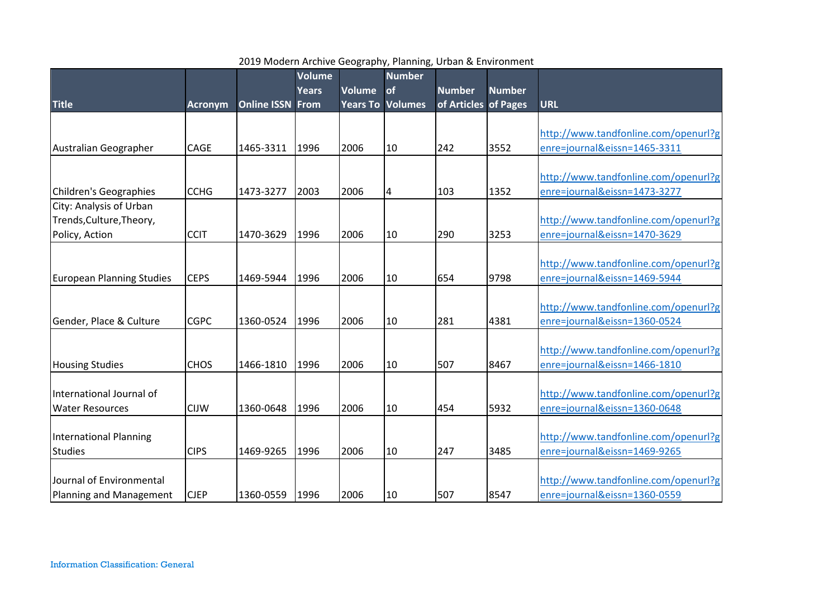|                                  |                |                         | <b>Volume</b> |               | <b>Number</b>           |                      |               |                                      |
|----------------------------------|----------------|-------------------------|---------------|---------------|-------------------------|----------------------|---------------|--------------------------------------|
|                                  |                |                         | <b>Years</b>  | <b>Volume</b> | of                      | <b>Number</b>        | <b>Number</b> |                                      |
| <b>Title</b>                     | <b>Acronym</b> | <b>Online ISSN From</b> |               |               | <b>Years To Volumes</b> | of Articles of Pages |               | <b>URL</b>                           |
|                                  |                |                         |               |               |                         |                      |               |                                      |
|                                  |                |                         |               |               |                         |                      |               | http://www.tandfonline.com/openurl?g |
| Australian Geographer            | CAGE           | 1465-3311               | 1996          | 2006          | 10                      | 242                  | 3552          | enre=journal&eissn=1465-3311         |
|                                  |                |                         |               |               |                         |                      |               |                                      |
|                                  |                |                         |               |               |                         |                      |               | http://www.tandfonline.com/openurl?g |
| Children's Geographies           | <b>CCHG</b>    | 1473-3277               | 2003          | 2006          | 4                       | 103                  | 1352          | enre=journal&eissn=1473-3277         |
| City: Analysis of Urban          |                |                         |               |               |                         |                      |               |                                      |
| Trends, Culture, Theory,         |                |                         |               |               |                         |                      |               | http://www.tandfonline.com/openurl?g |
| Policy, Action                   | <b>CCIT</b>    | 1470-3629               | 1996          | 2006          | 10                      | 290                  | 3253          | enre=journal&eissn=1470-3629         |
|                                  |                |                         |               |               |                         |                      |               |                                      |
|                                  |                |                         |               |               |                         |                      |               | http://www.tandfonline.com/openurl?g |
| <b>European Planning Studies</b> | <b>CEPS</b>    | 1469-5944               | 1996          | 2006          | 10                      | 654                  | 9798          | enre=journal&eissn=1469-5944         |
|                                  |                |                         |               |               |                         |                      |               |                                      |
|                                  |                |                         |               |               |                         |                      |               | http://www.tandfonline.com/openurl?g |
| Gender, Place & Culture          | <b>CGPC</b>    | 1360-0524               | 1996          | 2006          | 10                      | 281                  | 4381          | enre=journal&eissn=1360-0524         |
|                                  |                |                         |               |               |                         |                      |               |                                      |
|                                  |                |                         |               |               |                         |                      |               | http://www.tandfonline.com/openurl?g |
| <b>Housing Studies</b>           | <b>CHOS</b>    | 1466-1810               | 1996          | 2006          | 10                      | 507                  | 8467          | enre=journal&eissn=1466-1810         |
|                                  |                |                         |               |               |                         |                      |               |                                      |
| International Journal of         |                |                         |               |               |                         |                      |               | http://www.tandfonline.com/openurl?g |
| <b>Water Resources</b>           | <b>CIJW</b>    | 1360-0648               | 1996          | 2006          | 10                      | 454                  | 5932          | enre=journal&eissn=1360-0648         |
|                                  |                |                         |               |               |                         |                      |               |                                      |
| International Planning           |                |                         |               |               |                         |                      |               | http://www.tandfonline.com/openurl?g |
| <b>Studies</b>                   | <b>CIPS</b>    | 1469-9265               | 1996          | 2006          | 10                      | 247                  | 3485          | enre=journal&eissn=1469-9265         |
|                                  |                |                         |               |               |                         |                      |               |                                      |
| Journal of Environmental         |                |                         |               |               |                         |                      |               | http://www.tandfonline.com/openurl?g |
| Planning and Management          | <b>CJEP</b>    | 1360-0559               | 1996          | 2006          | 10                      | 507                  | 8547          | enre=journal&eissn=1360-0559         |

## 2019 Modern Archive Geography, Planning, Urban & Environment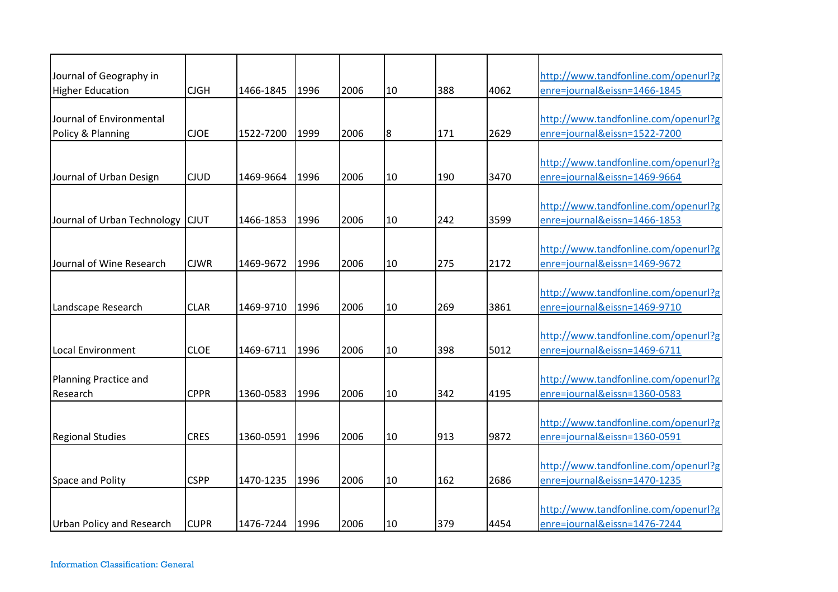| Journal of Geography in          |             |                |      |      |                |     |      | http://www.tandfonline.com/openurl?g |
|----------------------------------|-------------|----------------|------|------|----------------|-----|------|--------------------------------------|
| <b>Higher Education</b>          | <b>CJGH</b> | 1466-1845      | 1996 | 2006 | 10             | 388 | 4062 | enre=journal&eissn=1466-1845         |
|                                  |             |                |      |      |                |     |      |                                      |
| Journal of Environmental         |             |                |      |      |                |     |      | http://www.tandfonline.com/openurl?g |
| Policy & Planning                | <b>CJOE</b> | 1522-7200      | 1999 | 2006 | $8\phantom{.}$ | 171 | 2629 | enre=journal&eissn=1522-7200         |
|                                  |             |                |      |      |                |     |      |                                      |
|                                  |             |                |      |      |                |     |      | http://www.tandfonline.com/openurl?g |
| Journal of Urban Design          | <b>CJUD</b> | 1469-9664      | 1996 | 2006 | 10             | 190 | 3470 | enre=journal&eissn=1469-9664         |
|                                  |             |                |      |      |                |     |      | http://www.tandfonline.com/openurl?g |
| Journal of Urban Technology CJUT |             | 1466-1853      | 1996 | 2006 | 10             | 242 | 3599 | enre=journal&eissn=1466-1853         |
|                                  |             |                |      |      |                |     |      |                                      |
|                                  |             |                |      |      |                |     |      | http://www.tandfonline.com/openurl?g |
| Journal of Wine Research         | <b>CJWR</b> | 1469-9672      | 1996 | 2006 | 10             | 275 | 2172 | enre=journal&eissn=1469-9672         |
|                                  |             |                |      |      |                |     |      |                                      |
|                                  |             |                |      |      |                |     |      | http://www.tandfonline.com/openurl?g |
| Landscape Research               | <b>CLAR</b> | 1469-9710      | 1996 | 2006 | 10             | 269 | 3861 | enre=journal&eissn=1469-9710         |
|                                  |             |                |      |      |                |     |      |                                      |
|                                  |             |                |      |      |                |     |      | http://www.tandfonline.com/openurl?g |
| <b>Local Environment</b>         | <b>CLOE</b> | 1469-6711      | 1996 | 2006 | 10             | 398 | 5012 | enre=journal&eissn=1469-6711         |
| <b>Planning Practice and</b>     |             |                |      |      |                |     |      | http://www.tandfonline.com/openurl?g |
| Research                         | <b>CPPR</b> | 1360-0583      | 1996 | 2006 | 10             | 342 | 4195 | enre=journal&eissn=1360-0583         |
|                                  |             |                |      |      |                |     |      |                                      |
|                                  |             |                |      |      |                |     |      | http://www.tandfonline.com/openurl?g |
| <b>Regional Studies</b>          | <b>CRES</b> | 1360-0591      | 1996 | 2006 | 10             | 913 | 9872 | enre=journal&eissn=1360-0591         |
|                                  |             |                |      |      |                |     |      |                                      |
|                                  |             |                |      |      |                |     |      | http://www.tandfonline.com/openurl?g |
| Space and Polity                 | <b>CSPP</b> | 1470-1235      | 1996 | 2006 | 10             | 162 | 2686 | enre=journal&eissn=1470-1235         |
|                                  |             |                |      |      |                |     |      |                                      |
|                                  |             |                |      |      |                |     |      | http://www.tandfonline.com/openurl?g |
| <b>Urban Policy and Research</b> | <b>CUPR</b> | 1476-7244 1996 |      | 2006 | 10             | 379 | 4454 | enre=journal&eissn=1476-7244         |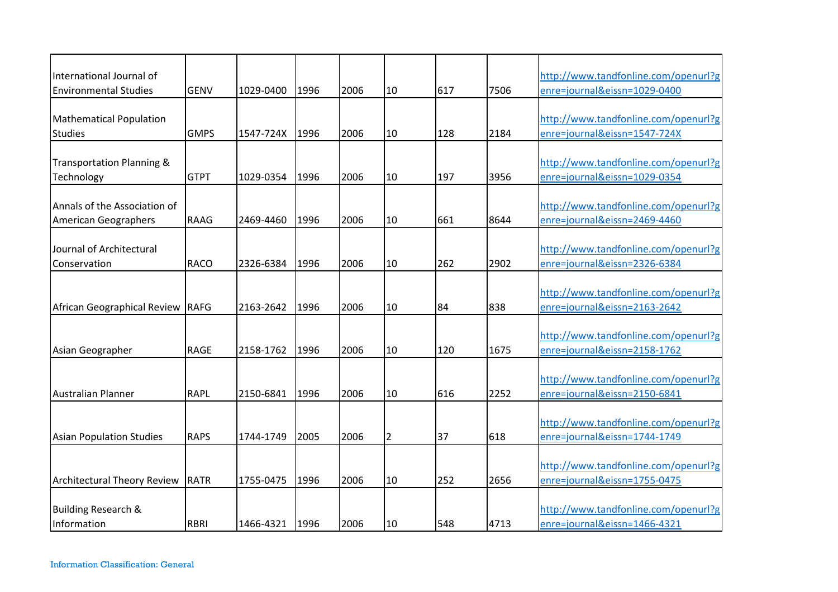| International Journal of                                    |             |           |      |      |                |     |      | http://www.tandfonline.com/openurl?g                                 |
|-------------------------------------------------------------|-------------|-----------|------|------|----------------|-----|------|----------------------------------------------------------------------|
| <b>Environmental Studies</b>                                | <b>GENV</b> | 1029-0400 | 1996 | 2006 | 10             | 617 | 7506 | enre=journal&eissn=1029-0400                                         |
| <b>Mathematical Population</b><br><b>Studies</b>            | <b>GMPS</b> | 1547-724X | 1996 | 2006 | 10             | 128 | 2184 | http://www.tandfonline.com/openurl?g<br>enre=journal&eissn=1547-724X |
| Transportation Planning &<br>Technology                     | <b>GTPT</b> | 1029-0354 | 1996 | 2006 | 10             | 197 | 3956 | http://www.tandfonline.com/openurl?g<br>enre=journal&eissn=1029-0354 |
| Annals of the Association of<br><b>American Geographers</b> | <b>RAAG</b> | 2469-4460 | 1996 | 2006 | 10             | 661 | 8644 | http://www.tandfonline.com/openurl?g<br>enre=journal&eissn=2469-4460 |
| Journal of Architectural<br>Conservation                    | <b>RACO</b> | 2326-6384 | 1996 | 2006 | 10             | 262 | 2902 | http://www.tandfonline.com/openurl?g<br>enre=journal&eissn=2326-6384 |
| African Geographical Review RAFG                            |             | 2163-2642 | 1996 | 2006 | 10             | 84  | 838  | http://www.tandfonline.com/openurl?g<br>enre=journal&eissn=2163-2642 |
| Asian Geographer                                            | <b>RAGE</b> | 2158-1762 | 1996 | 2006 | 10             | 120 | 1675 | http://www.tandfonline.com/openurl?g<br>enre=journal&eissn=2158-1762 |
| <b>Australian Planner</b>                                   | <b>RAPL</b> | 2150-6841 | 1996 | 2006 | 10             | 616 | 2252 | http://www.tandfonline.com/openurl?g<br>enre=journal&eissn=2150-6841 |
| <b>Asian Population Studies</b>                             | <b>RAPS</b> | 1744-1749 | 2005 | 2006 | $\overline{2}$ | 37  | 618  | http://www.tandfonline.com/openurl?g<br>enre=journal&eissn=1744-1749 |
| <b>Architectural Theory Review</b>                          | RATR        | 1755-0475 | 1996 | 2006 | 10             | 252 | 2656 | http://www.tandfonline.com/openurl?g<br>enre=journal&eissn=1755-0475 |
| <b>Building Research &amp;</b><br>Information               | <b>RBRI</b> | 1466-4321 | 1996 | 2006 | 10             | 548 | 4713 | http://www.tandfonline.com/openurl?g<br>enre=journal&eissn=1466-4321 |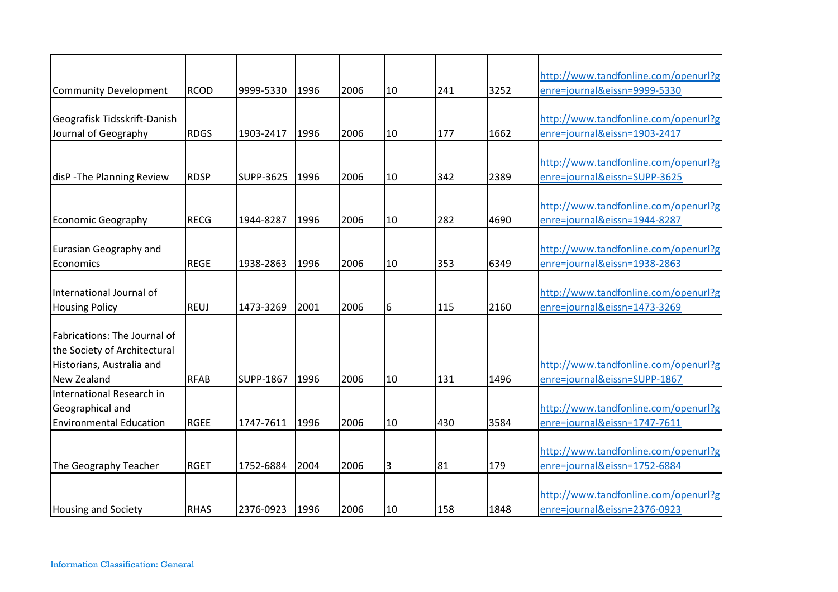|                                |             |                  |      |      |    |     |      | http://www.tandfonline.com/openurl?g |
|--------------------------------|-------------|------------------|------|------|----|-----|------|--------------------------------------|
| <b>Community Development</b>   | <b>RCOD</b> | 9999-5330        | 1996 | 2006 | 10 | 241 | 3252 | enre=journal&eissn=9999-5330         |
|                                |             |                  |      |      |    |     |      |                                      |
| Geografisk Tidsskrift-Danish   |             |                  |      |      |    |     |      | http://www.tandfonline.com/openurl?g |
| Journal of Geography           | <b>RDGS</b> | 1903-2417        | 1996 | 2006 | 10 | 177 | 1662 | enre=journal&eissn=1903-2417         |
|                                |             |                  |      |      |    |     |      |                                      |
|                                |             |                  |      |      |    |     |      | http://www.tandfonline.com/openurl?g |
| disP - The Planning Review     | <b>RDSP</b> | <b>SUPP-3625</b> | 1996 | 2006 | 10 | 342 | 2389 | enre=journal&eissn=SUPP-3625         |
|                                |             |                  |      |      |    |     |      |                                      |
|                                |             |                  |      |      |    |     |      | http://www.tandfonline.com/openurl?g |
| <b>Economic Geography</b>      | <b>RECG</b> | 1944-8287        | 1996 | 2006 | 10 | 282 | 4690 | enre=journal&eissn=1944-8287         |
|                                |             |                  |      |      |    |     |      |                                      |
| <b>Eurasian Geography and</b>  |             |                  |      |      |    |     |      | http://www.tandfonline.com/openurl?g |
| Economics                      | <b>REGE</b> | 1938-2863        | 1996 | 2006 | 10 | 353 | 6349 | enre=journal&eissn=1938-2863         |
|                                |             |                  |      |      |    |     |      |                                      |
| International Journal of       |             |                  |      |      |    |     |      | http://www.tandfonline.com/openurl?g |
| <b>Housing Policy</b>          | <b>REUJ</b> | 1473-3269        | 2001 | 2006 | 6  | 115 | 2160 | enre=journal&eissn=1473-3269         |
|                                |             |                  |      |      |    |     |      |                                      |
| Fabrications: The Journal of   |             |                  |      |      |    |     |      |                                      |
| the Society of Architectural   |             |                  |      |      |    |     |      |                                      |
| Historians, Australia and      |             |                  |      |      |    |     |      | http://www.tandfonline.com/openurl?g |
| New Zealand                    | <b>RFAB</b> | SUPP-1867        | 1996 | 2006 | 10 | 131 | 1496 | enre=journal&eissn=SUPP-1867         |
| International Research in      |             |                  |      |      |    |     |      |                                      |
| Geographical and               |             |                  |      |      |    |     |      | http://www.tandfonline.com/openurl?g |
| <b>Environmental Education</b> | <b>RGEE</b> | 1747-7611        | 1996 | 2006 | 10 | 430 | 3584 | enre=journal&eissn=1747-7611         |
|                                |             |                  |      |      |    |     |      |                                      |
|                                |             |                  |      |      |    |     |      | http://www.tandfonline.com/openurl?g |
| The Geography Teacher          | <b>RGET</b> | 1752-6884        | 2004 | 2006 | 3  | 81  | 179  | enre=journal&eissn=1752-6884         |
|                                |             |                  |      |      |    |     |      |                                      |
|                                |             |                  |      |      |    |     |      | http://www.tandfonline.com/openurl?g |
| <b>Housing and Society</b>     | <b>RHAS</b> | 2376-0923        | 1996 | 2006 | 10 | 158 | 1848 | enre=journal&eissn=2376-0923         |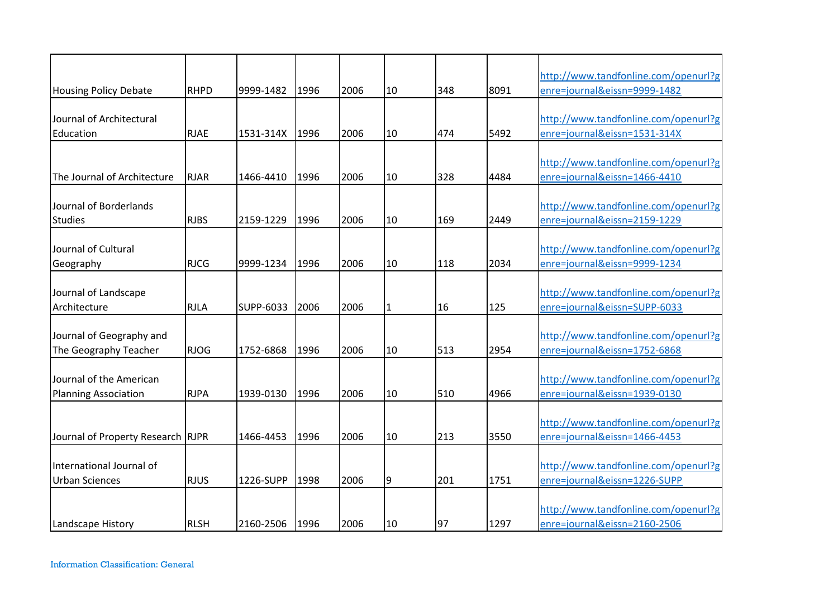|                                                        |             |           |      |      |              |     |      | http://www.tandfonline.com/openurl?g                                 |
|--------------------------------------------------------|-------------|-----------|------|------|--------------|-----|------|----------------------------------------------------------------------|
| <b>Housing Policy Debate</b>                           | <b>RHPD</b> | 9999-1482 | 1996 | 2006 | 10           | 348 | 8091 | enre=journal&eissn=9999-1482                                         |
| Journal of Architectural<br>Education                  | <b>RJAE</b> | 1531-314X | 1996 | 2006 | 10           | 474 | 5492 | http://www.tandfonline.com/openurl?g<br>enre=journal&eissn=1531-314X |
| The Journal of Architecture                            | <b>RJAR</b> | 1466-4410 | 1996 | 2006 | 10           | 328 | 4484 | http://www.tandfonline.com/openurl?g<br>enre=journal&eissn=1466-4410 |
| Journal of Borderlands<br><b>Studies</b>               | <b>RJBS</b> | 2159-1229 | 1996 | 2006 | 10           | 169 | 2449 | http://www.tandfonline.com/openurl?g<br>enre=journal&eissn=2159-1229 |
| Journal of Cultural<br>Geography                       | <b>RJCG</b> | 9999-1234 | 1996 | 2006 | 10           | 118 | 2034 | http://www.tandfonline.com/openurl?g<br>enre=journal&eissn=9999-1234 |
| Journal of Landscape<br>Architecture                   | <b>RJLA</b> | SUPP-6033 | 2006 | 2006 | $\mathbf{1}$ | 16  | 125  | http://www.tandfonline.com/openurl?g<br>enre=journal&eissn=SUPP-6033 |
| Journal of Geography and<br>The Geography Teacher      | <b>RJOG</b> | 1752-6868 | 1996 | 2006 | 10           | 513 | 2954 | http://www.tandfonline.com/openurl?g<br>enre=journal&eissn=1752-6868 |
| Journal of the American<br><b>Planning Association</b> | <b>RJPA</b> | 1939-0130 | 1996 | 2006 | 10           | 510 | 4966 | http://www.tandfonline.com/openurl?g<br>enre=journal&eissn=1939-0130 |
| Journal of Property Research RJPR                      |             | 1466-4453 | 1996 | 2006 | 10           | 213 | 3550 | http://www.tandfonline.com/openurl?g<br>enre=journal&eissn=1466-4453 |
| International Journal of<br><b>Urban Sciences</b>      | <b>RJUS</b> | 1226-SUPP | 1998 | 2006 | 9            | 201 | 1751 | http://www.tandfonline.com/openurl?g<br>enre=journal&eissn=1226-SUPP |
| Landscape History                                      | <b>RLSH</b> | 2160-2506 | 1996 | 2006 | 10           | 97  | 1297 | http://www.tandfonline.com/openurl?g<br>enre=journal&eissn=2160-2506 |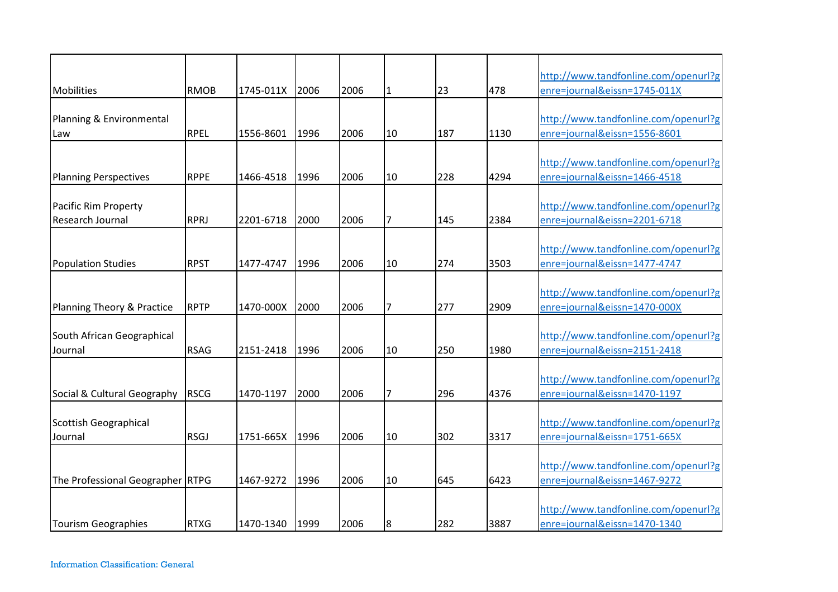| Mobilities                            | <b>RMOB</b> | 1745-011X | 2006 | 2006 | $\mathbf{1}$   | 23  | 478  | http://www.tandfonline.com/openurl?g<br>enre=journal&eissn=1745-011X |
|---------------------------------------|-------------|-----------|------|------|----------------|-----|------|----------------------------------------------------------------------|
|                                       |             |           |      |      |                |     |      |                                                                      |
| Planning & Environmental              |             |           |      |      |                |     |      | http://www.tandfonline.com/openurl?g                                 |
| Law                                   | <b>RPEL</b> | 1556-8601 | 1996 | 2006 | 10             | 187 | 1130 | enre=journal&eissn=1556-8601                                         |
|                                       |             |           |      |      |                |     |      | http://www.tandfonline.com/openurl?g                                 |
| <b>Planning Perspectives</b>          | <b>RPPE</b> | 1466-4518 | 1996 | 2006 | 10             | 228 | 4294 | enre=journal&eissn=1466-4518                                         |
| Pacific Rim Property                  |             |           |      |      |                |     |      | http://www.tandfonline.com/openurl?g                                 |
| Research Journal                      | <b>RPRJ</b> | 2201-6718 | 2000 | 2006 | $\overline{7}$ | 145 | 2384 | enre=journal&eissn=2201-6718                                         |
|                                       |             |           |      |      |                |     |      |                                                                      |
|                                       |             |           |      |      |                |     |      | http://www.tandfonline.com/openurl?g                                 |
| <b>Population Studies</b>             | <b>RPST</b> | 1477-4747 | 1996 | 2006 | 10             | 274 | 3503 | enre=journal&eissn=1477-4747                                         |
|                                       |             |           |      |      |                |     |      | http://www.tandfonline.com/openurl?g                                 |
| <b>Planning Theory &amp; Practice</b> | <b>RPTP</b> | 1470-000X | 2000 | 2006 | 7              | 277 | 2909 | enre=journal&eissn=1470-000X                                         |
|                                       |             |           |      |      |                |     |      |                                                                      |
| South African Geographical            |             |           |      |      |                |     |      | http://www.tandfonline.com/openurl?g                                 |
| Journal                               | <b>RSAG</b> | 2151-2418 | 1996 | 2006 | 10             | 250 | 1980 | enre=journal&eissn=2151-2418                                         |
|                                       |             |           |      |      |                |     |      | http://www.tandfonline.com/openurl?g                                 |
| Social & Cultural Geography           | <b>RSCG</b> | 1470-1197 | 2000 | 2006 | 7              | 296 | 4376 | enre=journal&eissn=1470-1197                                         |
|                                       |             |           |      |      |                |     |      |                                                                      |
| <b>Scottish Geographical</b>          |             |           |      |      |                |     |      | http://www.tandfonline.com/openurl?g                                 |
| Journal                               | <b>RSGJ</b> | 1751-665X | 1996 | 2006 | 10             | 302 | 3317 | enre=journal&eissn=1751-665X                                         |
|                                       |             |           |      |      |                |     |      | http://www.tandfonline.com/openurl?g                                 |
| The Professional Geographer RTPG      |             | 1467-9272 | 1996 | 2006 | 10             | 645 | 6423 | enre=journal&eissn=1467-9272                                         |
|                                       |             |           |      |      |                |     |      |                                                                      |
|                                       |             |           |      |      |                |     |      | http://www.tandfonline.com/openurl?g                                 |
| <b>Tourism Geographies</b>            | <b>RTXG</b> | 1470-1340 | 1999 | 2006 | 8              | 282 | 3887 | enre=journal&eissn=1470-1340                                         |